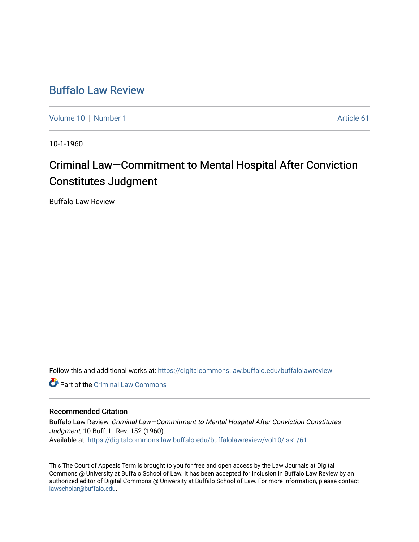# [Buffalo Law Review](https://digitalcommons.law.buffalo.edu/buffalolawreview)

[Volume 10](https://digitalcommons.law.buffalo.edu/buffalolawreview/vol10) [Number 1](https://digitalcommons.law.buffalo.edu/buffalolawreview/vol10/iss1) Article 61

10-1-1960

# Criminal Law—Commitment to Mental Hospital After Conviction Constitutes Judgment

Buffalo Law Review

Follow this and additional works at: [https://digitalcommons.law.buffalo.edu/buffalolawreview](https://digitalcommons.law.buffalo.edu/buffalolawreview?utm_source=digitalcommons.law.buffalo.edu%2Fbuffalolawreview%2Fvol10%2Fiss1%2F61&utm_medium=PDF&utm_campaign=PDFCoverPages) 

Part of the [Criminal Law Commons](http://network.bepress.com/hgg/discipline/912?utm_source=digitalcommons.law.buffalo.edu%2Fbuffalolawreview%2Fvol10%2Fiss1%2F61&utm_medium=PDF&utm_campaign=PDFCoverPages) 

## Recommended Citation

Buffalo Law Review, Criminal Law—Commitment to Mental Hospital After Conviction Constitutes Judgment, 10 Buff. L. Rev. 152 (1960). Available at: [https://digitalcommons.law.buffalo.edu/buffalolawreview/vol10/iss1/61](https://digitalcommons.law.buffalo.edu/buffalolawreview/vol10/iss1/61?utm_source=digitalcommons.law.buffalo.edu%2Fbuffalolawreview%2Fvol10%2Fiss1%2F61&utm_medium=PDF&utm_campaign=PDFCoverPages)

This The Court of Appeals Term is brought to you for free and open access by the Law Journals at Digital Commons @ University at Buffalo School of Law. It has been accepted for inclusion in Buffalo Law Review by an authorized editor of Digital Commons @ University at Buffalo School of Law. For more information, please contact [lawscholar@buffalo.edu](mailto:lawscholar@buffalo.edu).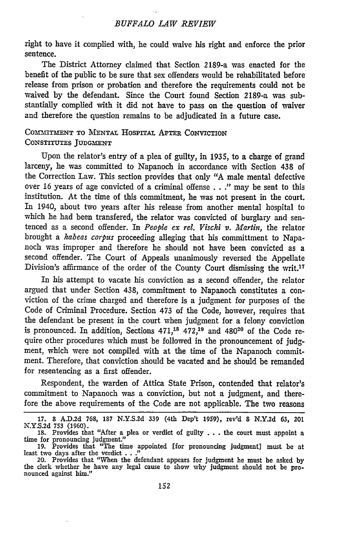right **to** have it complied with, he could waive his right and enforce the prior sentence.

The District Attorney claimed that Section 2189-a was enacted for the benefit of the public to be sure that sex offenders would be rehabilitated before release from prison or probation and therefore the requirements could not be waived **by** the defendant. Since the Court found Section 2189-a was substantially complied with it did not have to pass on the question of waiver and therefore the question remains to be adjudicated in a future case.

### **COMMITMENT TO MENTAL HOSPITAL AFTER CONVICTION CONSTITUTES JUDGMENT**

Upon the relator's entry of a plea of guilty, in **1935,** to a charge of grand larceny, he was committed to Napanoch in accordance with Section 438 of the Correction Law. This section provides that only "A male mental defective over 16 years of age convicted of a criminal offense . . ." may be sent to this institution. At the time of this commitment, he was not present in the court. In 1940, about two years after his release from another mental hospital to which he had been transfered, the relator was convicted of burglary and sentenced as a second offender. In *People ex rel. Vischi v. Martin,* the relator brought a kabeas corpus proceeding alleging that his committment to Napanoch was improper and therefore he should not have been convicted as a second offender. The Court of Appeals unanimously reversed the Appellate Division's affirmance of the order of the County Court dismissing the writ. <sup>17</sup>

In his attempt to vacate his conviction as a second offender, the relator argued that under Section 438, commitment to Napanoch constitutes a conviction of the crime charged and therefore is a judgment for purposes of the Code of Criminal Procedure. Section 473 of the Code, however, requires that the defendant be present in the court when judgment for a felony conviction is pronounced. In addition, Sections **471,18** 472,19 and 48020 of the Code require other procedures which must be followed in the pronouncement of judgment, which were not compiled with at the time of the Napanoch commitment. Therefore, that conviction should be vacated and he should be remanded for resentencing as a first offender.

Respondent, the warden of Attica State Prison, contended that relator's commitment to Napanoch was a conviction, but not a judgment, and therefore the above requirements of the Code are not applicable. The two reasons

**<sup>17.</sup>** 8 A.D.2d 768, **187** N.Y.S.2d 339 (4th Dep't 1959), rev'd 8 N.Y.2d 63, 201

N.Y.S.2d 753 (1960).<br>
18. Provides that "After a plea or verdict of guilty . . . the court must appoint a<br>
time for pronouncing judgment] must be at<br>
19. Provides that "The time appointed [for pronouncing judgment] must b

<sup>20.</sup> Provides that "When the defendant appears for judgment he must be asked by the **clerk** whether he have any legal cause to show why judgment should not be pro- nounced against him."